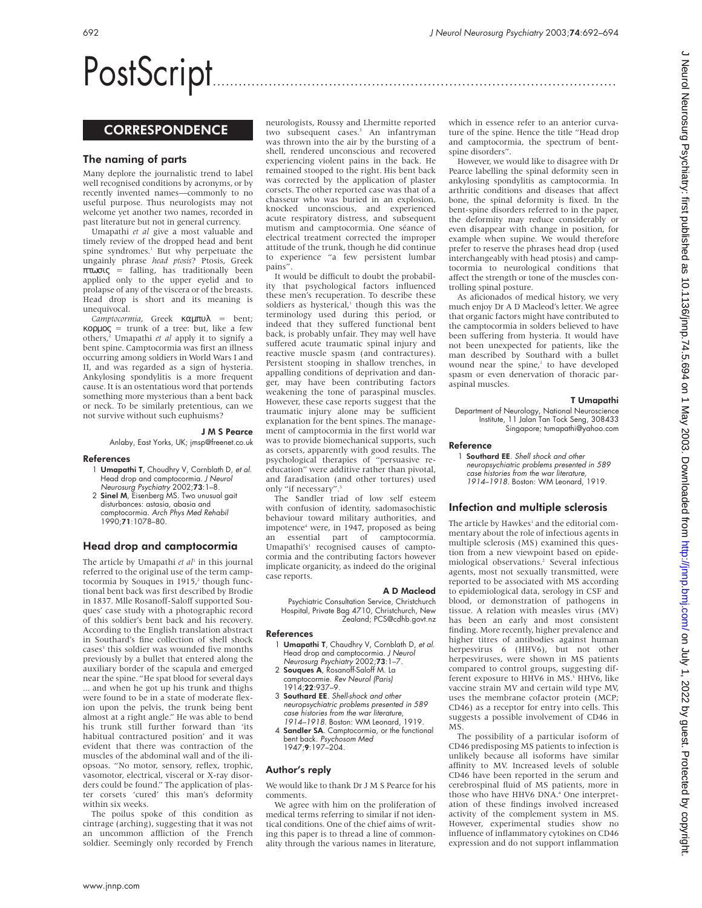# PostScript..............................................................................................

## **CORRESPONDENCE**

## The naming of parts

Many deplore the journalistic trend to label well recognised conditions by acronyms, or by recently invented names—commonly to no useful purpose. Thus neurologists may not welcome yet another two names, recorded in past literature but not in general currency.

Umapathi *et al* give a most valuable and timely review of the dropped head and bent spine syndromes.<sup>1</sup> But why perpetuate the ungainly phrase *head ptosis*? Ptosis, Greek πτωσις = falling, has traditionally been applied only to the upper eyelid and to prolapse of any of the viscera or of the breasts. Head drop is short and its meaning is unequivocal.

*Camptocormia*, Greek καµπυλ = bent; κορµος = trunk of a tree: but, like a few others,2 Umapathi *et al* apply it to signify a bent spine. Camptocormia was first an illness occurring among soldiers in World Wars I and II, and was regarded as a sign of hysteria. Ankylosing spondylitis is a more frequent cause. It is an ostentatious word that portends something more mysterious than a bent back or neck. To be similarly pretentious, can we not survive without such euphuisms?

#### J M S Pearce

Anlaby, East Yorks, UK; jmsp@freenet.co.uk

#### References

- 1 Umapathi T, Choudhry V, Cornblath D, et al. Head drop and camptocormia. J Neurol Neurosurg Psychiatry 2002;73:1–8.
- 2 Sinel M, Eisenberg MS. Two unusual gait disturbances: astasia, abasia and camptocormia. Arch Phys Med Rehabil 1990;71:1078–80.

## Head drop and camptocormia

The article by Umapathi et al<sup>1</sup> in this journal referred to the original use of the term camptocormia by Souques in  $1915$ ,<sup>2</sup> though functional bent back was first described by Brodie in 1837. Mlle Rosanoff-Saloff supported Souques' case study with a photographic record of this soldier's bent back and his recovery. According to the English translation abstract in Southard's fine collection of shell shock cases<sup>3</sup> this soldier was wounded five months previously by a bullet that entered along the auxiliary border of the scapula and emerged near the spine. "He spat blood for several days ... and when he got up his trunk and thighs were found to be in a state of moderate flexion upon the pelvis, the trunk being bent almost at a right angle." He was able to bend his trunk still further forward than 'its habitual contractured position' and it was evident that there was contraction of the muscles of the abdominal wall and of the iliopsoas. "No motor, sensory, reflex, trophic, vasomotor, electrical, visceral or X-ray disorders could be found." The application of plaster corsets 'cured' this man's deformity within six weeks.

The poilus spoke of this condition as cintrage (arching), suggesting that it was not an uncommon affliction of the French soldier. Seemingly only recorded by French

neurologists, Roussy and Lhermitte reported two subsequent cases.<sup>3</sup> An infantryman was thrown into the air by the bursting of a shell, rendered unconscious and recovered experiencing violent pains in the back. He remained stooped to the right. His bent back was corrected by the application of plaster corsets. The other reported case was that of a chasseur who was buried in an explosion, knocked unconscious, and experienced acute respiratory distress, and subsequent mutism and camptocormia. One séance of electrical treatment corrected the improper attitude of the trunk, though he did continue to experience "a few persistent lumbar pains".

It would be difficult to doubt the probability that psychological factors influenced these men's recuperation. To describe these soldiers as hysterical,<sup>1</sup> though this was the terminology used during this period, or indeed that they suffered functional bent back, is probably unfair. They may well have suffered acute traumatic spinal injury and reactive muscle spasm (and contractures). Persistent stooping in shallow trenches, in appalling conditions of deprivation and danger, may have been contributing factors weakening the tone of paraspinal muscles. However, these case reports suggest that the traumatic injury alone may be sufficient explanation for the bent spines. The management of camptocormia in the first world war was to provide biomechanical supports, such as corsets, apparently with good results. The psychological therapies of "persuasive reeducation" were additive rather than pivotal, and faradisation (and other tortures) used only "if necessary".

The Sandler triad of low self esteem with confusion of identity, sadomasochistic behaviour toward military authorities, and impotence<sup>4</sup> were, in 1947, proposed as being an essential part of camptocormia. Umapathi's<sup>1</sup> recognised causes of camptocormia and the contributing factors however implicate organicity, as indeed do the original case reports.

#### A D Macleod

Psychiatric Consultation Service, Christchurch Hospital, Private Bag 4710, Christchurch, New Zealand; PCS@cdhb.govt.nz

#### References

- 1 Umapathi T, Chaudhry V, Cornblath D, et al. Head drop and camptocormia. J Neurol Neurosurg Psychiatry 2002;73:1–7.
- 2 Souques A, Rosanoff-Saloff M. La camptocormie. Rev Neurol (Paris)
- 1914;**22**:937–9. 3 Southard EE. Shell-shock and other
- neuropsychiatric problems presented in 589 case histories from the war literature, 1914–1918. Boston: WM Leonard, 1919.
- 4 Sandler SA. Camptocormia, or the functional bent back. Psychosom Med 1947;9:197–204.

#### Author's reply

We would like to thank Dr J M S Pearce for his comments.

We agree with him on the proliferation of medical terms referring to similar if not identical conditions. One of the chief aims of writing this paper is to thread a line of commonality through the various names in literature,

which in essence refer to an anterior curvature of the spine. Hence the title "Head drop and camptocormia, the spectrum of bentspine disorders".

However, we would like to disagree with Dr Pearce labelling the spinal deformity seen in ankylosing spondylitis as camptocormia. In arthritic conditions and diseases that affect bone, the spinal deformity is fixed. In the bent-spine disorders referred to in the paper, the deformity may reduce considerably or even disappear with change in position, for example when supine. We would therefore prefer to reserve the phrases head drop (used interchangeably with head ptosis) and camptocormia to neurological conditions that affect the strength or tone of the muscles controlling spinal posture.

As aficionados of medical history, we very much enjoy Dr A D Macleod's letter. We agree that organic factors might have contributed to the camptocormia in solders believed to have been suffering from hysteria. It would have not been unexpected for patients, like the man described by Southard with a bullet wound near the spine,<sup>1</sup> to have developed spasm or even denervation of thoracic paraspinal muscles.

#### T Umapathi

Department of Neurology, National Neuroscience Institute, 11 Jalan Tan Tock Seng, 308433 Singapore; tumapathi@yahoo.com

#### Reference

1 Southard EE. Shell shock and other neuropsychiatric problems presented in 589 case histories from the war literature, 1914–1918. Boston: WM Leonard, 1919.

## Infection and multiple sclerosis

The article by Hawkes<sup>1</sup> and the editorial commentary about the role of infectious agents in multiple sclerosis (MS) examined this question from a new viewpoint based on epidemiological observations.2 Several infectious agents, most not sexually transmitted, were reported to be associated with MS according to epidemiological data, serology in CSF and blood, or demonstration of pathogens in tissue. A relation with measles virus (MV) has been an early and most consistent finding. More recently, higher prevalence and higher titres of antibodies against human herpesvirus 6 (HHV6), but not other herpesviruses, were shown in MS patients compared to control groups, suggesting different exposure to HHV6 in MS.<sup>3</sup> HHV6, like vaccine strain MV and certain wild type MV, uses the membrane cofactor protein (MCP; CD46) as a receptor for entry into cells. This suggests a possible involvement of CD46 in MS.

The possibility of a particular isoform of CD46 predisposing MS patients to infection is unlikely because all isoforms have similar affinity to MV. Increased levels of soluble CD46 have been reported in the serum and cerebrospinal fluid of MS patients, more in those who have HHV6 DNA.<sup>4</sup> One interpretation of these findings involved increased activity of the complement system in MS. However, experimental studies show no influence of inflammatory cytokines on CD46 expression and do not support inflammation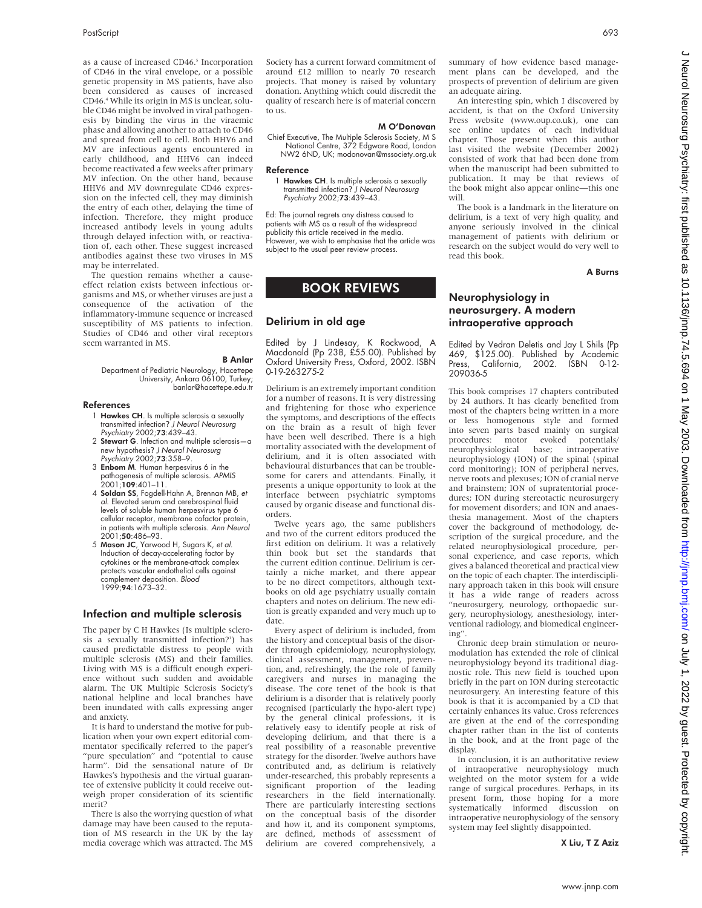as a cause of increased CD46.<sup>5</sup> Incorporation of CD46 in the viral envelope, or a possible genetic propensity in MS patients, have also been considered as causes of increased CD46.4 While its origin in MS is unclear, soluble CD46 might be involved in viral pathogenesis by binding the virus in the viraemic phase and allowing another to attach to CD46 and spread from cell to cell. Both HHV6 and MV are infectious agents encountered in early childhood, and HHV6 can indeed become reactivated a few weeks after primary MV infection. On the other hand, because HHV6 and MV downregulate CD46 expression on the infected cell, they may diminish the entry of each other, delaying the time of infection. Therefore, they might produce increased antibody levels in young adults through delayed infection with, or reactivation of, each other. These suggest increased antibodies against these two viruses in MS may be interrelated.

The question remains whether a causeeffect relation exists between infectious organisms and MS, or whether viruses are just a consequence of the activation of the inflammatory-immune sequence or increased susceptibility of MS patients to infection. Studies of CD46 and other viral receptors seem warranted in MS.

B Anlar

Department of Pediatric Neurology, Hacettepe University, Ankara 06100, Turkey; banlar@hacettepe.edu.tr

#### References

- 1 **Hawkes CH**. Is multiple sclerosis a sexually transmitted infection? J Neurol Neurosurg Psychiatry 2002;73:439–43.
- 2 Stewart G. Infection and multiple sclerosis-a new hypothesis? J Neurol Neurosurg Psychiatry 2002;73:358–9.
- 3 Enbom M. Human herpesvirus 6 in the pathogenesis of multiple sclerosis. APMIS  $2001$ ;109:401–11.
- 4 Soldan SS, Fogdell-Hahn A, Brennan MB, et al. Elevated serum and cerebrospinal fluid levels of soluble human herpesvirus type 6 cellular receptor, membrane cofactor protein, in patients with multiple sclerosis. Ann Neurol 2001;50:486–93.
- 5 Mason JC, Yarwood H, Sugars K, et al. Induction of decay-accelerating factor by cytokines or the membrane-attack complex protects vascular endothelial cells against complement deposition. Blood 1999;94:1673–32.

## Infection and multiple sclerosis

The paper by C H Hawkes (Is multiple sclerosis a sexually transmitted infection?<sup>1</sup>) has caused predictable distress to people with multiple sclerosis (MS) and their families. Living with MS is a difficult enough experience without such sudden and avoidable alarm. The UK Multiple Sclerosis Society's national helpline and local branches have been inundated with calls expressing anger and anxiety.

It is hard to understand the motive for publication when your own expert editorial commentator specifically referred to the paper's "pure speculation" and "potential to cause harm". Did the sensational nature of Dr Hawkes's hypothesis and the virtual guarantee of extensive publicity it could receive outweigh proper consideration of its scientific merit?

There is also the worrying question of what damage may have been caused to the reputation of MS research in the UK by the lay media coverage which was attracted. The MS Society has a current forward commitment of around £12 million to nearly 70 research projects. That money is raised by voluntary donation. Anything which could discredit the quality of research here is of material concern to us.

#### M O'Donovan

Chief Executive, The Multiple Sclerosis Society, M S National Centre, 372 Edgware Road, London NW2 6ND, UK; modonovan@mssociety.org.uk

#### Reference

1 Hawkes CH. Is multiple sclerosis a sexually transmitted infection? J Neurol Neurosurg Psychiatry 2002;73:439–43.

Ed: The journal regrets any distress caused to patients with MS as a result of the widespread publicity this article received in the media. However, we wish to emphasise that the article was subject to the usual peer review process.

## BOOK REVIEWS

## Delirium in old age

Edited by J Lindesay, K Rockwood, A Macdonald (Pp 238, £55.00). Published by Oxford University Press, Oxford, 2002. ISBN 0-19-263275-2

Delirium is an extremely important condition for a number of reasons. It is very distressing and frightening for those who experience the symptoms, and descriptions of the effects on the brain as a result of high fever have been well described. There is a high mortality associated with the development of delirium, and it is often associated with behavioural disturbances that can be troublesome for carers and attendants. Finally, it presents a unique opportunity to look at the interface between psychiatric symptoms caused by organic disease and functional disorders.

Twelve years ago, the same publishers and two of the current editors produced the first edition on delirium. It was a relatively thin book but set the standards that the current edition continue. Delirium is certainly a niche market, and there appear to be no direct competitors, although textbooks on old age psychiatry usually contain chapters and notes on delirium. The new edition is greatly expanded and very much up to date.

Every aspect of delirium is included, from the history and conceptual basis of the disorder through epidemiology, neurophysiology, clinical assessment, management, prevention, and, refreshingly, the the role of family caregivers and nurses in managing the disease. The core tenet of the book is that delirium is a disorder that is relatively poorly recognised (particularly the hypo-alert type) by the general clinical professions, it is relatively easy to identify people at risk of developing delirium, and that there is a real possibility of a reasonable preventive strategy for the disorder. Twelve authors have contributed and, as delirium is relatively under-researched, this probably represents a significant proportion of the leading researchers in the field internationally. There are particularly interesting sections on the conceptual basis of the disorder and how it, and its component symptoms, are defined, methods of assessment of delirium are covered comprehensively, a summary of how evidence based management plans can be developed, and the prospects of prevention of delirium are given an adequate airing.

An interesting spin, which I discovered by accident, is that on the Oxford University Press website (www.oup.co.uk), one can see online updates of each individual chapter. Those present when this author last visited the website (December 2002) consisted of work that had been done from when the manuscript had been submitted to publication. It may be that reviews of the book might also appear online—this one will.

The book is a landmark in the literature on delirium, is a text of very high quality, and anyone seriously involved in the clinical management of patients with delirium or research on the subject would do very well to read this book.

A Burns

## Neurophysiology in neurosurgery. A modern intraoperative approach

Edited by Vedran Deletis and Jay L Shils (Pp 469, \$125.00). Published by Academic California, 2002. ISBN 0-12-209036-5

This book comprises 17 chapters contributed by 24 authors. It has clearly benefited from most of the chapters being written in a more or less homogenous style and formed into seven parts based mainly on surgical procedures: motor evoked potentials/<br>
neurophysiological base: intraoperative neurophysiological base; neurophysiology (ION) of the spinal (spinal cord monitoring); ION of peripheral nerves, nerve roots and plexuses; ION of cranial nerve and brainstem; ION of supratentorial procedures; ION during stereotactic neurosurgery for movement disorders; and ION and anaesthesia management. Most of the chapters cover the background of methodology, description of the surgical procedure, and the related neurophysiological procedure, personal experience, and case reports, which gives a balanced theoretical and practical view on the topic of each chapter. The interdisciplinary approach taken in this book will ensure it has a wide range of readers across "neurosurgery, neurology, orthopaedic surgery, neurophysiology, anesthesiology, interventional radiology, and biomedical engineering".

Chronic deep brain stimulation or neuromodulation has extended the role of clinical neurophysiology beyond its traditional diagnostic role. This new field is touched upon briefly in the part on ION during stereotactic neurosurgery. An interesting feature of this book is that it is accompanied by a CD that certainly enhances its value. Cross references are given at the end of the corresponding chapter rather than in the list of contents in the book, and at the front page of the display.

In conclusion, it is an authoritative review of intraoperative neurophysiology much weighted on the motor system for a wide range of surgical procedures. Perhaps, in its present form, those hoping for a more systematically informed discussion on intraoperative neurophysiology of the sensory system may feel slightly disappointed.

X Liu, T Z Aziz